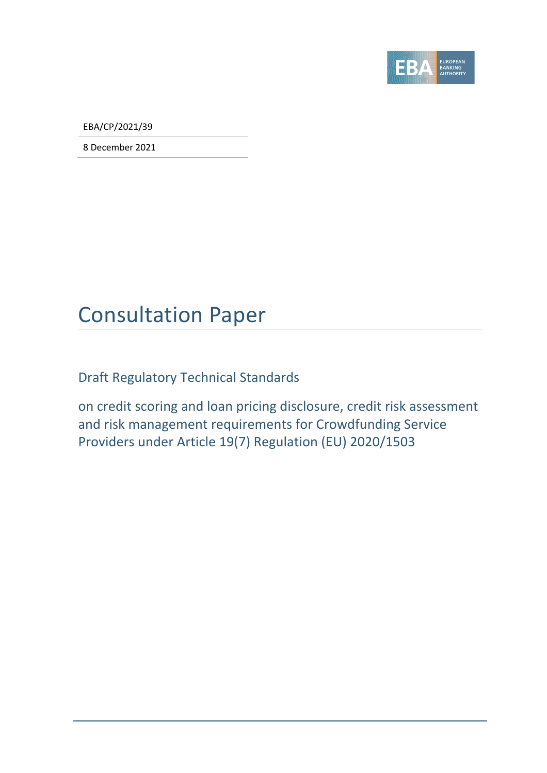

EBA/CP/2021/39

8 December 2021

# Consultation Paper

Draft Regulatory Technical Standards

on credit scoring and loan pricing disclosure, credit risk assessment and risk management requirements for Crowdfunding Service Providers under Article 19(7) Regulation (EU) 2020/1503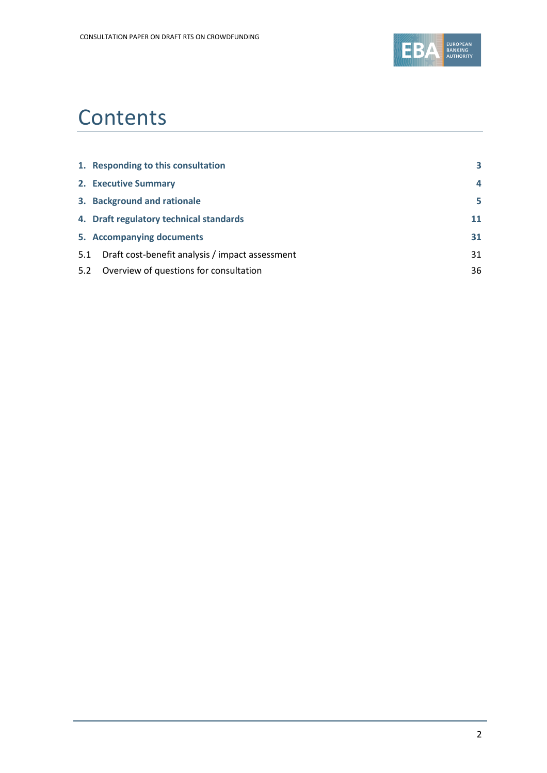

# **Contents**

|     | 1. Responding to this consultation              | 3  |
|-----|-------------------------------------------------|----|
|     | 2. Executive Summary                            | 4  |
|     | 3. Background and rationale                     | 5  |
|     | 4. Draft regulatory technical standards         | 11 |
|     | 5. Accompanying documents                       | 31 |
| 5.1 | Draft cost-benefit analysis / impact assessment | 31 |
| 5.2 | Overview of questions for consultation          | 36 |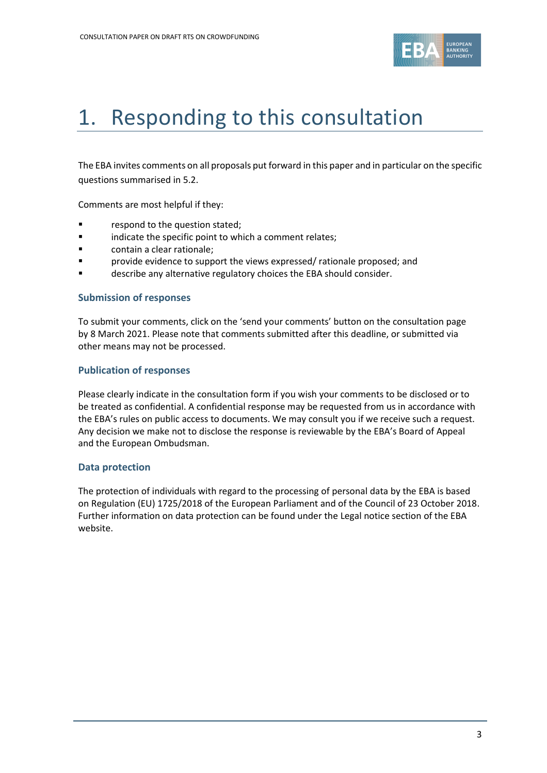

# <span id="page-2-0"></span>1. Responding to this consultation

The EBA invites comments on all proposals put forward in this paper and in particular on the specific questions summarised in 5.2.

Comments are most helpful if they:

- respond to the question stated;
- **•** indicate the specific point to which a comment relates;
- contain a clear rationale;
- **Provide evidence to support the views expressed/ rationale proposed; and**
- describe any alternative regulatory choices the EBA should consider.

#### **Submission of responses**

To submit your comments, click on the 'send your comments' button on the consultation page by 8 March 2021. Please note that comments submitted after this deadline, or submitted via other means may not be processed.

#### **Publication of responses**

Please clearly indicate in the consultation form if you wish your comments to be disclosed or to be treated as confidential. A confidential response may be requested from us in accordance with the EBA's rules on public access to documents. We may consult you if we receive such a request. Any decision we make not to disclose the response is reviewable by the EBA's Board of Appeal and the European Ombudsman.

#### **Data protection**

The protection of individuals with regard to the processing of personal data by the EBA is based on Regulation (EU) 1725/2018 of the European Parliament and of the Council of 23 October 2018. Further information on data protection can be found under the [Legal notice section](http://eba.europa.eu/legal-notice) of the EBA website.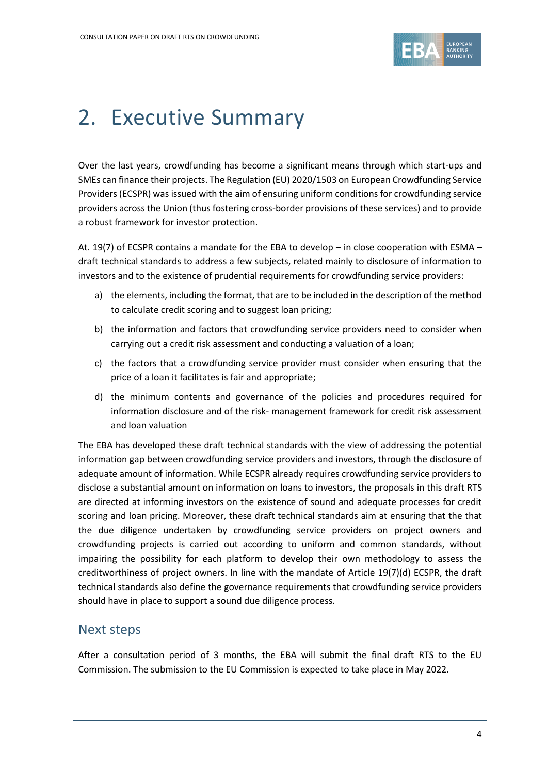

# <span id="page-3-0"></span>2. Executive Summary

Over the last years, crowdfunding has become a significant means through which start-ups and SMEs can finance their projects. The Regulation (EU) 2020/1503 on European Crowdfunding Service Providers (ECSPR) was issued with the aim of ensuring uniform conditions for crowdfunding service providers across the Union (thus fostering cross-border provisions of these services) and to provide a robust framework for investor protection.

At. 19(7) of ECSPR contains a mandate for the EBA to develop – in close cooperation with ESMA – draft technical standards to address a few subjects, related mainly to disclosure of information to investors and to the existence of prudential requirements for crowdfunding service providers:

- a) the elements, including the format, that are to be included in the description of the method to calculate credit scoring and to suggest loan pricing;
- b) the information and factors that crowdfunding service providers need to consider when carrying out a credit risk assessment and conducting a valuation of a loan;
- c) the factors that a crowdfunding service provider must consider when ensuring that the price of a loan it facilitates is fair and appropriate;
- d) the minimum contents and governance of the policies and procedures required for information disclosure and of the risk- management framework for credit risk assessment and loan valuation

The EBA has developed these draft technical standards with the view of addressing the potential information gap between crowdfunding service providers and investors, through the disclosure of adequate amount of information. While ECSPR already requires crowdfunding service providers to disclose a substantial amount on information on loans to investors, the proposals in this draft RTS are directed at informing investors on the existence of sound and adequate processes for credit scoring and loan pricing. Moreover, these draft technical standards aim at ensuring that the that the due diligence undertaken by crowdfunding service providers on project owners and crowdfunding projects is carried out according to uniform and common standards, without impairing the possibility for each platform to develop their own methodology to assess the creditworthiness of project owners. In line with the mandate of Article 19(7)(d) ECSPR, the draft technical standards also define the governance requirements that crowdfunding service providers should have in place to support a sound due diligence process.

# Next steps

After a consultation period of 3 months, the EBA will submit the final draft RTS to the EU Commission. The submission to the EU Commission is expected to take place in May 2022.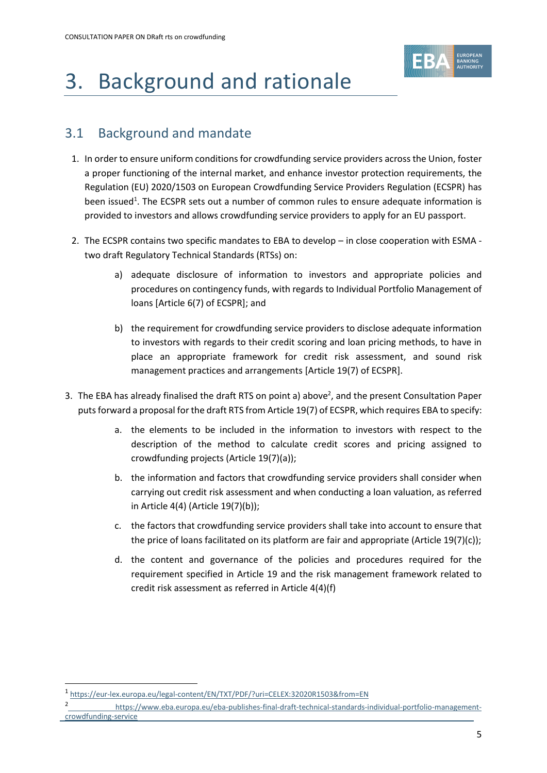

# <span id="page-4-0"></span>3. Background and rationale

# 3.1 Background and mandate

- 1. In order to ensure uniform conditions for crowdfunding service providers across the Union, foster a proper functioning of the internal market, and enhance investor protection requirements, the Regulation (EU) 2020/1503 on European Crowdfunding Service Providers Regulation (ECSPR) has been issued<sup>1</sup>. The ECSPR sets out a number of common rules to ensure adequate information is provided to investors and allows crowdfunding service providers to apply for an EU passport.
- 2. The ECSPR contains two specific mandates to EBA to develop in close cooperation with ESMA two draft Regulatory Technical Standards (RTSs) on:
	- a) adequate disclosure of information to investors and appropriate policies and procedures on contingency funds, with regards to Individual Portfolio Management of loans [Article 6(7) of ECSPR]; and
	- b) the requirement for crowdfunding service providers to disclose adequate information to investors with regards to their credit scoring and loan pricing methods, to have in place an appropriate framework for credit risk assessment, and sound risk management practices and arrangements [Article 19(7) of ECSPR].
- 3. The EBA has already finalised the draft RTS on point a) above<sup>2</sup>, and the present Consultation Paper puts forward a proposal for the draft RTS from Article 19(7) of ECSPR, which requires EBA to specify:
	- a. the elements to be included in the information to investors with respect to the description of the method to calculate credit scores and pricing assigned to crowdfunding projects (Article 19(7)(a));
	- b. the information and factors that crowdfunding service providers shall consider when carrying out credit risk assessment and when conducting a loan valuation, as referred in Article 4(4) (Article 19(7)(b));
	- c. the factors that crowdfunding service providers shall take into account to ensure that the price of loans facilitated on its platform are fair and appropriate (Article  $19(7)(c)$ );
	- d. the content and governance of the policies and procedures required for the requirement specified in Article 19 and the risk management framework related to credit risk assessment as referred in Article 4(4)(f)

<sup>1</sup> <https://eur-lex.europa.eu/legal-content/EN/TXT/PDF/?uri=CELEX:32020R1503&from=EN>

<sup>2</sup> [https://www.eba.europa.eu/eba-publishes-final-draft-technical-standards-individual-portfolio-management](https://www.eba.europa.eu/eba-publishes-final-draft-technical-standards-individual-portfolio-management-crowdfunding-service)[crowdfunding-service](https://www.eba.europa.eu/eba-publishes-final-draft-technical-standards-individual-portfolio-management-crowdfunding-service)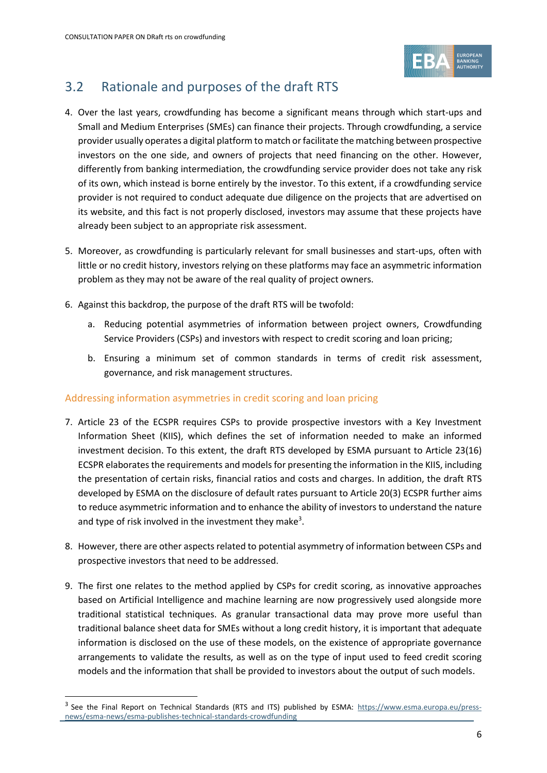

# 3.2 Rationale and purposes of the draft RTS

- 4. Over the last years, crowdfunding has become a significant means through which start-ups and Small and Medium Enterprises (SMEs) can finance their projects. Through crowdfunding, a service provider usually operates a digital platform to match or facilitate the matching between prospective investors on the one side, and owners of projects that need financing on the other. However, differently from banking intermediation, the crowdfunding service provider does not take any risk of its own, which instead is borne entirely by the investor. To this extent, if a crowdfunding service provider is not required to conduct adequate due diligence on the projects that are advertised on its website, and this fact is not properly disclosed, investors may assume that these projects have already been subject to an appropriate risk assessment.
- 5. Moreover, as crowdfunding is particularly relevant for small businesses and start-ups, often with little or no credit history, investors relying on these platforms may face an asymmetric information problem as they may not be aware of the real quality of project owners.
- 6. Against this backdrop, the purpose of the draft RTS will be twofold:
	- a. Reducing potential asymmetries of information between project owners, Crowdfunding Service Providers (CSPs) and investors with respect to credit scoring and loan pricing;
	- b. Ensuring a minimum set of common standards in terms of credit risk assessment, governance, and risk management structures.

#### Addressing information asymmetries in credit scoring and loan pricing

- 7. Article 23 of the ECSPR requires CSPs to provide prospective investors with a Key Investment Information Sheet (KIIS), which defines the set of information needed to make an informed investment decision. To this extent, the draft RTS developed by ESMA pursuant to Article 23(16) ECSPR elaborates the requirements and models for presenting the information in the KIIS, including the presentation of certain risks, financial ratios and costs and charges. In addition, the draft RTS developed by ESMA on the disclosure of default rates pursuant to Article 20(3) ECSPR further aims to reduce asymmetric information and to enhance the ability of investors to understand the nature and type of risk involved in the investment they make<sup>3</sup>.
- 8. However, there are other aspects related to potential asymmetry of information between CSPs and prospective investors that need to be addressed.
- 9. The first one relates to the method applied by CSPs for credit scoring, as innovative approaches based on Artificial Intelligence and machine learning are now progressively used alongside more traditional statistical techniques. As granular transactional data may prove more useful than traditional balance sheet data for SMEs without a long credit history, it is important that adequate information is disclosed on the use of these models, on the existence of appropriate governance arrangements to validate the results, as well as on the type of input used to feed credit scoring models and the information that shall be provided to investors about the output of such models.

<sup>&</sup>lt;sup>3</sup> See the Final Report on Technical Standards (RTS and ITS) published by ESMA: [https://www.esma.europa.eu/press](https://www.esma.europa.eu/press-news/esma-news/esma-publishes-technical-standards-crowdfunding)[news/esma-news/esma-publishes-technical-standards-crowdfunding](https://www.esma.europa.eu/press-news/esma-news/esma-publishes-technical-standards-crowdfunding)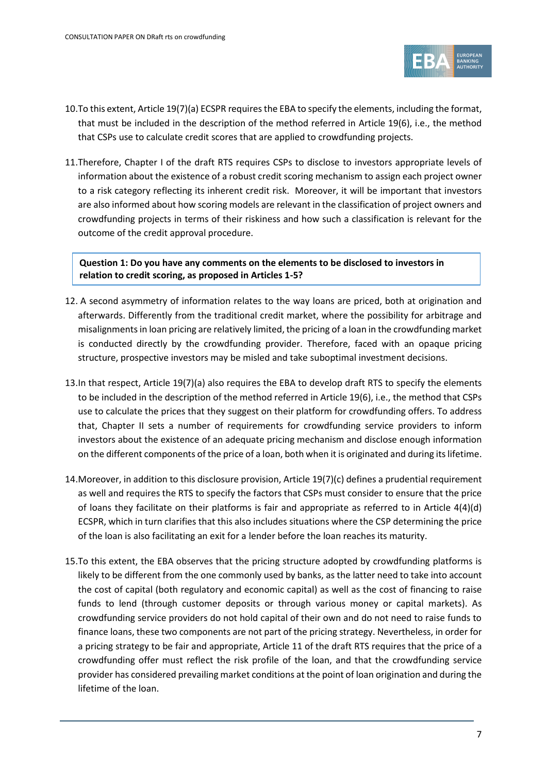

- 10.To this extent, Article 19(7)(a) ECSPR requires the EBA to specify the elements, including the format, that must be included in the description of the method referred in Article 19(6), i.e., the method that CSPs use to calculate credit scores that are applied to crowdfunding projects.
- 11.Therefore, Chapter I of the draft RTS requires CSPs to disclose to investors appropriate levels of information about the existence of a robust credit scoring mechanism to assign each project owner to a risk category reflecting its inherent credit risk. Moreover, it will be important that investors are also informed about how scoring models are relevant in the classification of project owners and crowdfunding projects in terms of their riskiness and how such a classification is relevant for the outcome of the credit approval procedure.

**Question 1: Do you have any comments on the elements to be disclosed to investors in relation to credit scoring, as proposed in Articles 1-5?**

- 12. A second asymmetry of information relates to the way loans are priced, both at origination and afterwards. Differently from the traditional credit market, where the possibility for arbitrage and misalignments in loan pricing are relatively limited, the pricing of a loan in the crowdfunding market is conducted directly by the crowdfunding provider. Therefore, faced with an opaque pricing structure, prospective investors may be misled and take suboptimal investment decisions.
- 13.In that respect, Article 19(7)(a) also requires the EBA to develop draft RTS to specify the elements to be included in the description of the method referred in Article 19(6), i.e., the method that CSPs use to calculate the prices that they suggest on their platform for crowdfunding offers. To address that, Chapter II sets a number of requirements for crowdfunding service providers to inform investors about the existence of an adequate pricing mechanism and disclose enough information on the different components of the price of a loan, both when it is originated and during its lifetime.
- 14.Moreover, in addition to this disclosure provision, Article 19(7)(c) defines a prudential requirement as well and requires the RTS to specify the factors that CSPs must consider to ensure that the price of loans they facilitate on their platforms is fair and appropriate as referred to in Article 4(4)(d) ECSPR, which in turn clarifies that this also includes situations where the CSP determining the price of the loan is also facilitating an exit for a lender before the loan reaches its maturity.
- 15.To this extent, the EBA observes that the pricing structure adopted by crowdfunding platforms is likely to be different from the one commonly used by banks, as the latter need to take into account the cost of capital (both regulatory and economic capital) as well as the cost of financing to raise funds to lend (through customer deposits or through various money or capital markets). As crowdfunding service providers do not hold capital of their own and do not need to raise funds to finance loans, these two components are not part of the pricing strategy. Nevertheless, in order for a pricing strategy to be fair and appropriate, Article 11 of the draft RTS requires that the price of a crowdfunding offer must reflect the risk profile of the loan, and that the crowdfunding service provider has considered prevailing market conditions at the point of loan origination and during the lifetime of the loan.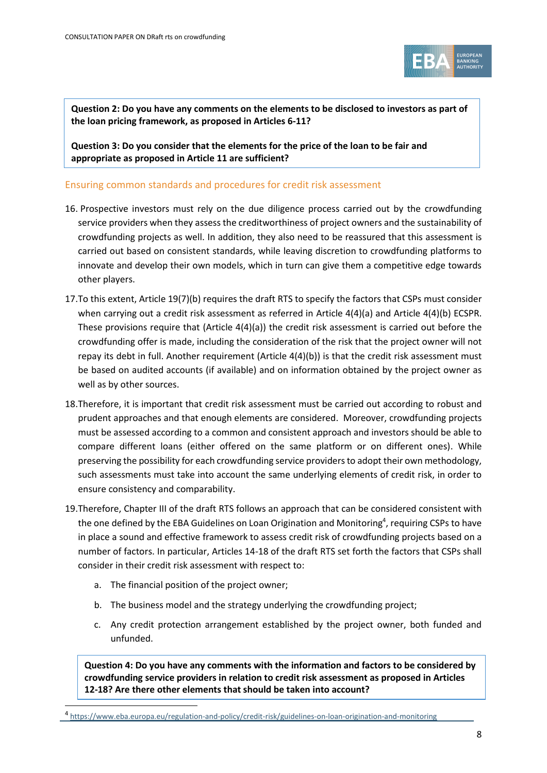

**Question 2: Do you have any comments on the elements to be disclosed to investors as part of the loan pricing framework, as proposed in Articles 6-11?**

**Question 3: Do you consider that the elements for the price of the loan to be fair and appropriate as proposed in Article 11 are sufficient?**

#### Ensuring common standards and procedures for credit risk assessment

- 16. Prospective investors must rely on the due diligence process carried out by the crowdfunding service providers when they assess the creditworthiness of project owners and the sustainability of crowdfunding projects as well. In addition, they also need to be reassured that this assessment is carried out based on consistent standards, while leaving discretion to crowdfunding platforms to innovate and develop their own models, which in turn can give them a competitive edge towards other players.
- 17.To this extent, Article 19(7)(b) requires the draft RTS to specify the factors that CSPs must consider when carrying out a credit risk assessment as referred in Article 4(4)(a) and Article 4(4)(b) ECSPR. These provisions require that (Article 4(4)(a)) the credit risk assessment is carried out before the crowdfunding offer is made, including the consideration of the risk that the project owner will not repay its debt in full. Another requirement (Article 4(4)(b)) is that the credit risk assessment must be based on audited accounts (if available) and on information obtained by the project owner as well as by other sources.
- 18.Therefore, it is important that credit risk assessment must be carried out according to robust and prudent approaches and that enough elements are considered. Moreover, crowdfunding projects must be assessed according to a common and consistent approach and investors should be able to compare different loans (either offered on the same platform or on different ones). While preserving the possibility for each crowdfunding service providers to adopt their own methodology, such assessments must take into account the same underlying elements of credit risk, in order to ensure consistency and comparability.
- 19.Therefore, Chapter III of the draft RTS follows an approach that can be considered consistent with the one defined by the EBA Guidelines on Loan Origination and Monitoring<sup>4</sup>, requiring CSPs to have in place a sound and effective framework to assess credit risk of crowdfunding projects based on a number of factors. In particular, Articles 14-18 of the draft RTS set forth the factors that CSPs shall consider in their credit risk assessment with respect to:
	- a. The financial position of the project owner;
	- b. The business model and the strategy underlying the crowdfunding project;
	- c. Any credit protection arrangement established by the project owner, both funded and unfunded.

**Question 4: Do you have any comments with the information and factors to be considered by crowdfunding service providers in relation to credit risk assessment as proposed in Articles 12-18? Are there other elements that should be taken into account?**

<sup>4</sup> <https://www.eba.europa.eu/regulation-and-policy/credit-risk/guidelines-on-loan-origination-and-monitoring>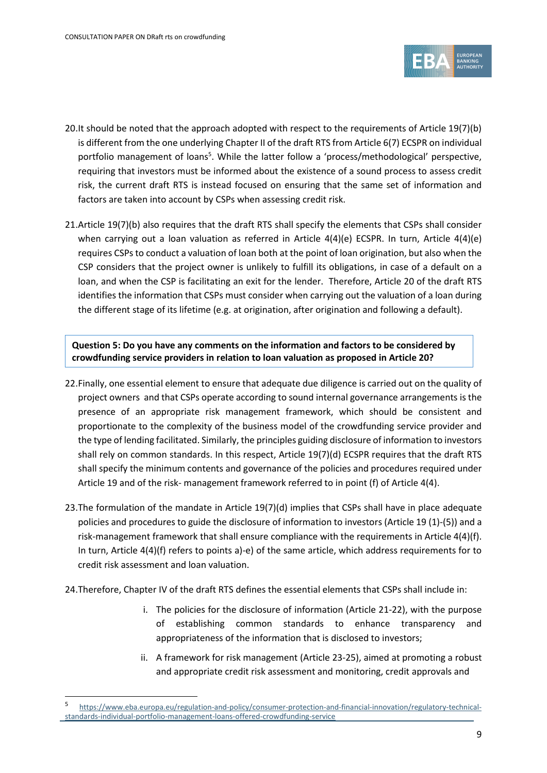

- 20.It should be noted that the approach adopted with respect to the requirements of Article 19(7)(b) is different from the one underlying Chapter II of the draft RTS from Article 6(7) ECSPR on individual portfolio management of loans<sup>5</sup>. While the latter follow a 'process/methodological' perspective, requiring that investors must be informed about the existence of a sound process to assess credit risk, the current draft RTS is instead focused on ensuring that the same set of information and factors are taken into account by CSPs when assessing credit risk.
- 21.Article 19(7)(b) also requires that the draft RTS shall specify the elements that CSPs shall consider when carrying out a loan valuation as referred in Article  $4(4)(e)$  ECSPR. In turn, Article  $4(4)(e)$ requires CSPsto conduct a valuation of loan both at the point of loan origination, but also when the CSP considers that the project owner is unlikely to fulfill its obligations, in case of a default on a loan, and when the CSP is facilitating an exit for the lender. Therefore, Article 20 of the draft RTS identifies the information that CSPs must consider when carrying out the valuation of a loan during the different stage of its lifetime (e.g. at origination, after origination and following a default).

**Question 5: Do you have any comments on the information and factors to be considered by crowdfunding service providers in relation to loan valuation as proposed in Article 20?**

- 22.Finally, one essential element to ensure that adequate due diligence is carried out on the quality of project owners and that CSPs operate according to sound internal governance arrangements is the presence of an appropriate risk management framework, which should be consistent and proportionate to the complexity of the business model of the crowdfunding service provider and the type of lending facilitated. Similarly, the principles guiding disclosure of information to investors shall rely on common standards. In this respect, Article 19(7)(d) ECSPR requires that the draft RTS shall specify the minimum contents and governance of the policies and procedures required under Article 19 and of the risk- management framework referred to in point (f) of Article 4(4).
- 23.The formulation of the mandate in Article 19(7)(d) implies that CSPs shall have in place adequate policies and procedures to guide the disclosure of information to investors (Article 19 (1)-(5)) and a risk-management framework that shall ensure compliance with the requirements in Article 4(4)(f). In turn, Article 4(4)(f) refers to points a)-e) of the same article, which address requirements for to credit risk assessment and loan valuation.
- 24.Therefore, Chapter IV of the draft RTS defines the essential elements that CSPs shall include in:
	- i. The policies for the disclosure of information (Article 21-22), with the purpose of establishing common standards to enhance transparency and appropriateness of the information that is disclosed to investors;
	- ii. A framework for risk management (Article 23-25), aimed at promoting a robust and appropriate credit risk assessment and monitoring, credit approvals and

<sup>5</sup> [https://www.eba.europa.eu/regulation-and-policy/consumer-protection-and-financial-innovation/regulatory-technical](https://www.eba.europa.eu/regulation-and-policy/consumer-protection-and-financial-innovation/regulatory-technical-standards-individual-portfolio-management-loans-offered-crowdfunding-service)[standards-individual-portfolio-management-loans-offered-crowdfunding-service](https://www.eba.europa.eu/regulation-and-policy/consumer-protection-and-financial-innovation/regulatory-technical-standards-individual-portfolio-management-loans-offered-crowdfunding-service)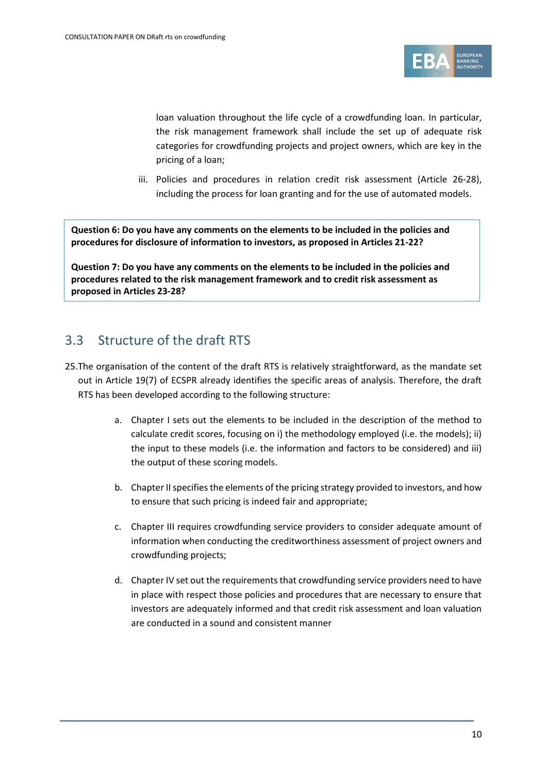

loan valuation throughout the life cycle of a crowdfunding loan. In particular, the risk management framework shall include the set up of adequate risk categories for crowdfunding projects and project owners, which are key in the pricing of a loan;

iii. Policies and procedures in relation credit risk assessment (Article 26-28), including the process for loan granting and for the use of automated models.

**Question 6: Do you have any comments on the elements to be included in the policies and procedures for disclosure of information to investors, as proposed in Articles 21-22?**

**Question 7: Do you have any comments on the elements to be included in the policies and procedures related to the risk management framework and to credit risk assessment as proposed in Articles 23-28?**

# 3.3 Structure of the draft RTS

- 25.The organisation of the content of the draft RTS is relatively straightforward, as the mandate set out in Article 19(7) of ECSPR already identifies the specific areas of analysis. Therefore, the draft RTS has been developed according to the following structure:
	- a. Chapter I sets out the elements to be included in the description of the method to calculate credit scores, focusing on i) the methodology employed (i.e. the models); ii) the input to these models (i.e. the information and factors to be considered) and iii) the output of these scoring models.
	- b. Chapter II specifies the elements of the pricing strategy provided to investors, and how to ensure that such pricing is indeed fair and appropriate;
	- c. Chapter III requires crowdfunding service providers to consider adequate amount of information when conducting the creditworthiness assessment of project owners and crowdfunding projects;
	- d. Chapter IV set out the requirements that crowdfunding service providers need to have in place with respect those policies and procedures that are necessary to ensure that investors are adequately informed and that credit risk assessment and loan valuation are conducted in a sound and consistent manner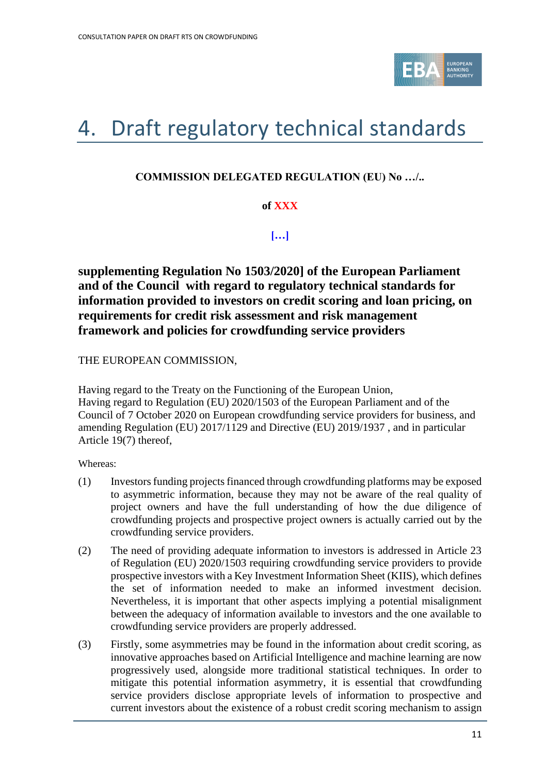

# <span id="page-10-0"></span>4. Draft regulatory technical standards

# **COMMISSION DELEGATED REGULATION (EU) No …/..**

# **of XXX**

**[…]**

**supplementing Regulation No 1503/2020] of the European Parliament and of the Council with regard to regulatory technical standards for information provided to investors on credit scoring and loan pricing, on requirements for credit risk assessment and risk management framework and policies for crowdfunding service providers** 

THE EUROPEAN COMMISSION,

Having regard to the Treaty on the Functioning of the European Union, Having regard to Regulation (EU) 2020/1503 of the European Parliament and of the Council of 7 October 2020 on European crowdfunding service providers for business, and amending Regulation (EU) 2017/1129 and Directive (EU) 2019/1937 , and in particular Article 19(7) thereof,

Whereas:

- (1) Investors funding projects financed through crowdfunding platforms may be exposed to asymmetric information, because they may not be aware of the real quality of project owners and have the full understanding of how the due diligence of crowdfunding projects and prospective project owners is actually carried out by the crowdfunding service providers.
- (2) The need of providing adequate information to investors is addressed in Article 23 of Regulation (EU) 2020/1503 requiring crowdfunding service providers to provide prospective investors with a Key Investment Information Sheet (KIIS), which defines the set of information needed to make an informed investment decision. Nevertheless, it is important that other aspects implying a potential misalignment between the adequacy of information available to investors and the one available to crowdfunding service providers are properly addressed.
- (3) Firstly, some asymmetries may be found in the information about credit scoring, as innovative approaches based on Artificial Intelligence and machine learning are now progressively used, alongside more traditional statistical techniques. In order to mitigate this potential information asymmetry, it is essential that crowdfunding service providers disclose appropriate levels of information to prospective and current investors about the existence of a robust credit scoring mechanism to assign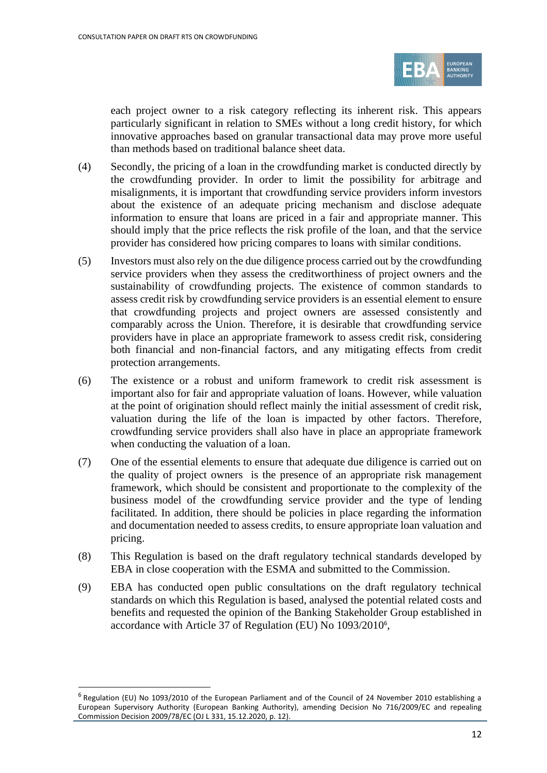

each project owner to a risk category reflecting its inherent risk. This appears particularly significant in relation to SMEs without a long credit history, for which innovative approaches based on granular transactional data may prove more useful than methods based on traditional balance sheet data.

- (4) Secondly, the pricing of a loan in the crowdfunding market is conducted directly by the crowdfunding provider. In order to limit the possibility for arbitrage and misalignments, it is important that crowdfunding service providers inform investors about the existence of an adequate pricing mechanism and disclose adequate information to ensure that loans are priced in a fair and appropriate manner. This should imply that the price reflects the risk profile of the loan, and that the service provider has considered how pricing compares to loans with similar conditions.
- (5) Investors must also rely on the due diligence process carried out by the crowdfunding service providers when they assess the creditworthiness of project owners and the sustainability of crowdfunding projects. The existence of common standards to assess credit risk by crowdfunding service providers is an essential element to ensure that crowdfunding projects and project owners are assessed consistently and comparably across the Union. Therefore, it is desirable that crowdfunding service providers have in place an appropriate framework to assess credit risk, considering both financial and non-financial factors, and any mitigating effects from credit protection arrangements.
- (6) The existence or a robust and uniform framework to credit risk assessment is important also for fair and appropriate valuation of loans. However, while valuation at the point of origination should reflect mainly the initial assessment of credit risk, valuation during the life of the loan is impacted by other factors. Therefore, crowdfunding service providers shall also have in place an appropriate framework when conducting the valuation of a loan.
- (7) One of the essential elements to ensure that adequate due diligence is carried out on the quality of project owners is the presence of an appropriate risk management framework, which should be consistent and proportionate to the complexity of the business model of the crowdfunding service provider and the type of lending facilitated. In addition, there should be policies in place regarding the information and documentation needed to assess credits, to ensure appropriate loan valuation and pricing.
- (8) This Regulation is based on the draft regulatory technical standards developed by EBA in close cooperation with the ESMA and submitted to the Commission.
- (9) EBA has conducted open public consultations on the draft regulatory technical standards on which this Regulation is based, analysed the potential related costs and benefits and requested the opinion of the Banking Stakeholder Group established in accordance with Article 37 of Regulation (EU) No 1093/2010<sup>6</sup> ,

<sup>&</sup>lt;sup>6</sup> Regulation (EU) No 1093/2010 of the European Parliament and of the Council of 24 November 2010 establishing a European Supervisory Authority (European Banking Authority), amending Decision No 716/2009/EC and repealing Commission Decision 2009/78/EC (OJ L 331, 15.12.2020, p. 12).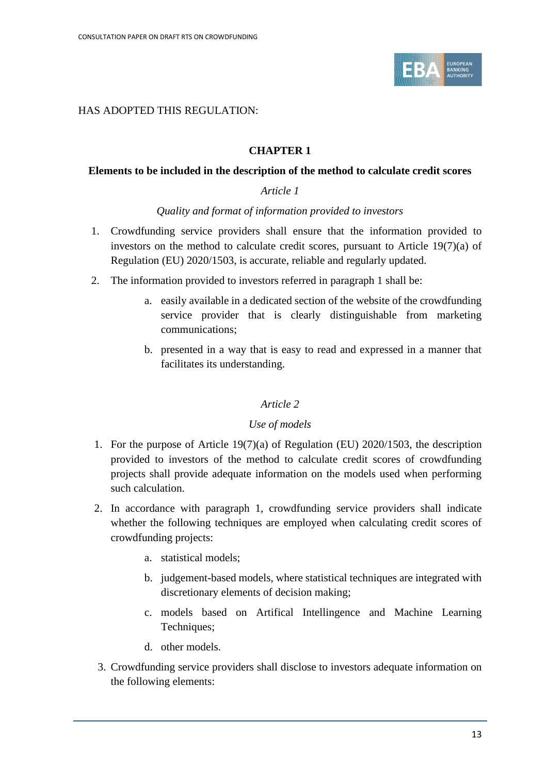

#### HAS ADOPTED THIS REGULATION:

#### **CHAPTER 1**

#### **Elements to be included in the description of the method to calculate credit scores**

#### *Article 1*

#### *Quality and format of information provided to investors*

- 1. Crowdfunding service providers shall ensure that the information provided to investors on the method to calculate credit scores, pursuant to Article 19(7)(a) of Regulation (EU) 2020/1503, is accurate, reliable and regularly updated.
- 2. The information provided to investors referred in paragraph 1 shall be:
	- a. easily available in a dedicated section of the website of the crowdfunding service provider that is clearly distinguishable from marketing communications;
	- b. presented in a way that is easy to read and expressed in a manner that facilitates its understanding.

#### *Article 2*

#### *Use of models*

- 1. For the purpose of Article 19(7)(a) of Regulation (EU) 2020/1503, the description provided to investors of the method to calculate credit scores of crowdfunding projects shall provide adequate information on the models used when performing such calculation.
- 2. In accordance with paragraph 1, crowdfunding service providers shall indicate whether the following techniques are employed when calculating credit scores of crowdfunding projects:
	- a. statistical models;
	- b. judgement-based models, where statistical techniques are integrated with discretionary elements of decision making;
	- c. models based on Artifical Intellingence and Machine Learning Techniques;
	- d. other models.
- 3. Crowdfunding service providers shall disclose to investors adequate information on the following elements: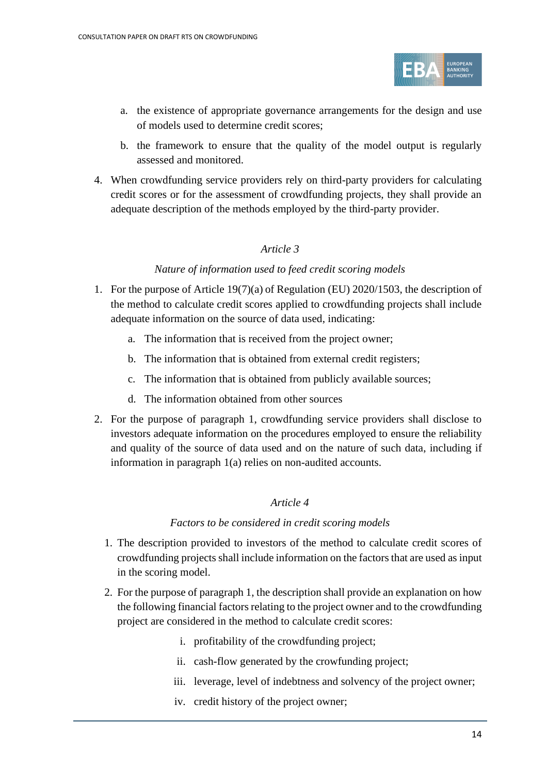

- a. the existence of appropriate governance arrangements for the design and use of models used to determine credit scores;
- b. the framework to ensure that the quality of the model output is regularly assessed and monitored.
- 4. When crowdfunding service providers rely on third-party providers for calculating credit scores or for the assessment of crowdfunding projects, they shall provide an adequate description of the methods employed by the third-party provider.

#### *Nature of information used to feed credit scoring models*

- 1. For the purpose of Article 19(7)(a) of Regulation (EU) 2020/1503, the description of the method to calculate credit scores applied to crowdfunding projects shall include adequate information on the source of data used, indicating:
	- a. The information that is received from the project owner;
	- b. The information that is obtained from external credit registers;
	- c. The information that is obtained from publicly available sources;
	- d. The information obtained from other sources
- 2. For the purpose of paragraph 1, crowdfunding service providers shall disclose to investors adequate information on the procedures employed to ensure the reliability and quality of the source of data used and on the nature of such data, including if information in paragraph 1(a) relies on non-audited accounts.

#### *Article 4*

#### *Factors to be considered in credit scoring models*

- 1. The description provided to investors of the method to calculate credit scores of crowdfunding projects shall include information on the factors that are used as input in the scoring model.
- 2. For the purpose of paragraph 1, the description shall provide an explanation on how the following financial factors relating to the project owner and to the crowdfunding project are considered in the method to calculate credit scores:
	- i. profitability of the crowdfunding project;
	- ii. cash-flow generated by the crowfunding project;
	- iii. leverage, level of indebtness and solvency of the project owner;
	- iv. credit history of the project owner;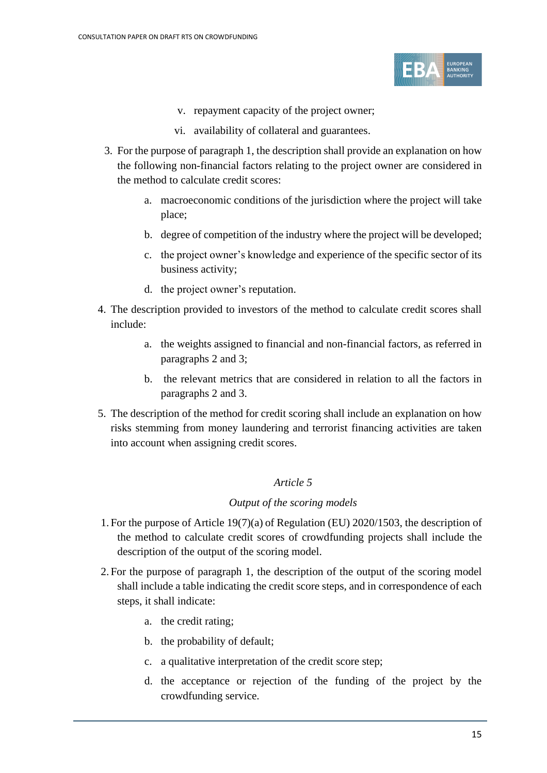

- v. repayment capacity of the project owner;
- vi. availability of collateral and guarantees.
- 3. For the purpose of paragraph 1, the description shall provide an explanation on how the following non-financial factors relating to the project owner are considered in the method to calculate credit scores:
	- a. macroeconomic conditions of the jurisdiction where the project will take place;
	- b. degree of competition of the industry where the project will be developed;
	- c. the project owner's knowledge and experience of the specific sector of its business activity;
	- d. the project owner's reputation.
- 4. The description provided to investors of the method to calculate credit scores shall include:
	- a. the weights assigned to financial and non-financial factors, as referred in paragraphs 2 and 3;
	- b. the relevant metrics that are considered in relation to all the factors in paragraphs 2 and 3.
- 5. The description of the method for credit scoring shall include an explanation on how risks stemming from money laundering and terrorist financing activities are taken into account when assigning credit scores.

#### *Output of the scoring models*

- 1. For the purpose of Article 19(7)(a) of Regulation (EU) 2020/1503, the description of the method to calculate credit scores of crowdfunding projects shall include the description of the output of the scoring model.
- 2. For the purpose of paragraph 1, the description of the output of the scoring model shall include a table indicating the credit score steps, and in correspondence of each steps, it shall indicate:
	- a. the credit rating;
	- b. the probability of default;
	- c. a qualitative interpretation of the credit score step;
	- d. the acceptance or rejection of the funding of the project by the crowdfunding service.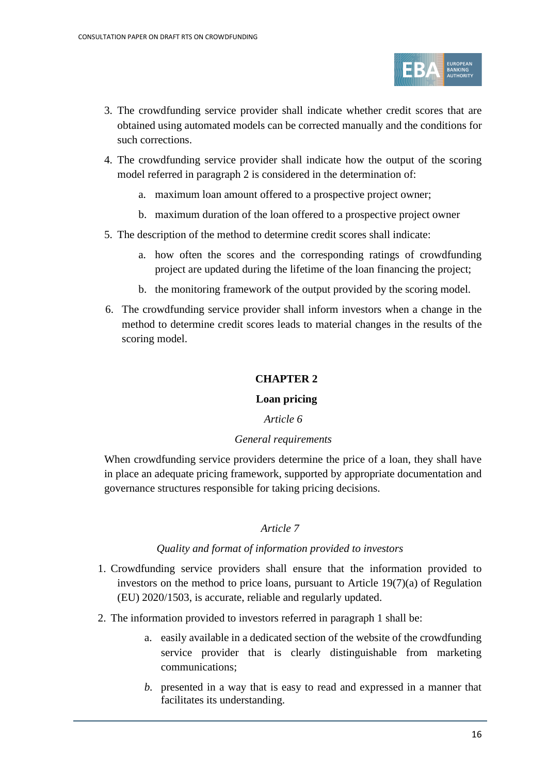

- 3. The crowdfunding service provider shall indicate whether credit scores that are obtained using automated models can be corrected manually and the conditions for such corrections.
- 4. The crowdfunding service provider shall indicate how the output of the scoring model referred in paragraph 2 is considered in the determination of:
	- a. maximum loan amount offered to a prospective project owner;
	- b. maximum duration of the loan offered to a prospective project owner
- 5. The description of the method to determine credit scores shall indicate:
	- a. how often the scores and the corresponding ratings of crowdfunding project are updated during the lifetime of the loan financing the project;
	- b. the monitoring framework of the output provided by the scoring model.
- 6. The crowdfunding service provider shall inform investors when a change in the method to determine credit scores leads to material changes in the results of the scoring model.

# **CHAPTER 2**

#### **Loan pricing**

#### *Article 6*

#### *General requirements*

When crowdfunding service providers determine the price of a loan, they shall have in place an adequate pricing framework, supported by appropriate documentation and governance structures responsible for taking pricing decisions.

#### *Article 7*

#### *Quality and format of information provided to investors*

- 1. Crowdfunding service providers shall ensure that the information provided to investors on the method to price loans, pursuant to Article 19(7)(a) of Regulation (EU) 2020/1503, is accurate, reliable and regularly updated.
- 2. The information provided to investors referred in paragraph 1 shall be:
	- a. easily available in a dedicated section of the website of the crowdfunding service provider that is clearly distinguishable from marketing communications;
	- *b.* presented in a way that is easy to read and expressed in a manner that facilitates its understanding.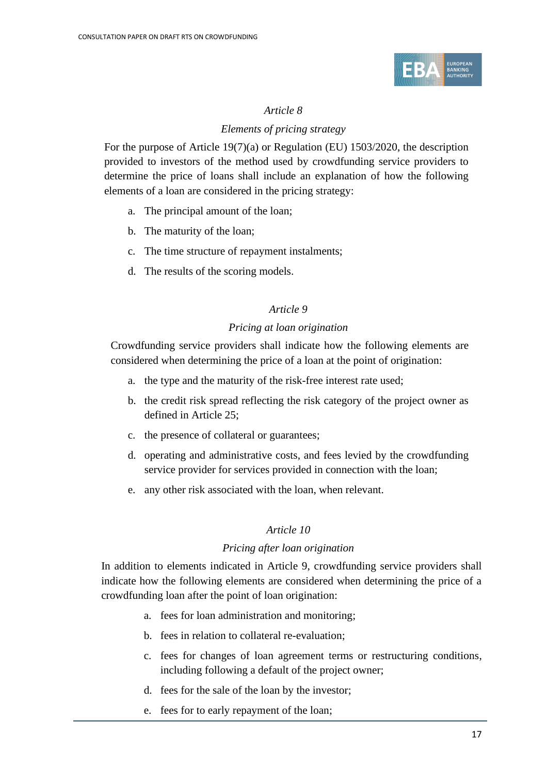

### *Elements of pricing strategy*

For the purpose of Article 19(7)(a) or Regulation (EU) 1503/2020, the description provided to investors of the method used by crowdfunding service providers to determine the price of loans shall include an explanation of how the following elements of a loan are considered in the pricing strategy:

- a. The principal amount of the loan;
- b. The maturity of the loan;
- c. The time structure of repayment instalments;
- d. The results of the scoring models.

### *Article 9*

### *Pricing at loan origination*

Crowdfunding service providers shall indicate how the following elements are considered when determining the price of a loan at the point of origination:

- a. the type and the maturity of the risk-free interest rate used;
- b. the credit risk spread reflecting the risk category of the project owner as defined in Article 25;
- c. the presence of collateral or guarantees;
- d. operating and administrative costs, and fees levied by the crowdfunding service provider for services provided in connection with the loan;
- e. any other risk associated with the loan, when relevant.

#### *Article 10*

#### *Pricing after loan origination*

In addition to elements indicated in Article 9, crowdfunding service providers shall indicate how the following elements are considered when determining the price of a crowdfunding loan after the point of loan origination:

- a. fees for loan administration and monitoring;
- b. fees in relation to collateral re-evaluation;
- c. fees for changes of loan agreement terms or restructuring conditions, including following a default of the project owner;
- d. fees for the sale of the loan by the investor;
- e. fees for to early repayment of the loan;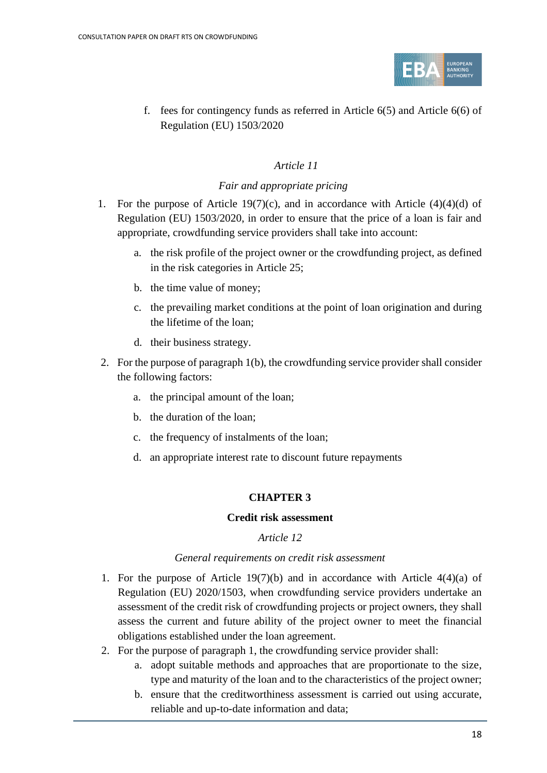

f. fees for contingency funds as referred in Article 6(5) and Article 6(6) of Regulation (EU) 1503/2020

#### *Article 11*

#### *Fair and appropriate pricing*

- 1. For the purpose of Article 19(7)(c), and in accordance with Article (4)(4)(d) of Regulation (EU) 1503/2020, in order to ensure that the price of a loan is fair and appropriate, crowdfunding service providers shall take into account:
	- a. the risk profile of the project owner or the crowdfunding project, as defined in the risk categories in Article 25;
	- b. the time value of money;
	- c. the prevailing market conditions at the point of loan origination and during the lifetime of the loan;
	- d. their business strategy.
- 2. For the purpose of paragraph 1(b), the crowdfunding service provider shall consider the following factors:
	- a. the principal amount of the loan;
	- b. the duration of the loan;
	- c. the frequency of instalments of the loan;
	- d. an appropriate interest rate to discount future repayments

# **CHAPTER 3**

#### **Credit risk assessment**

#### *Article 12*

#### *General requirements on credit risk assessment*

- 1. For the purpose of Article 19(7)(b) and in accordance with Article  $4(4)(a)$  of Regulation (EU) 2020/1503, when crowdfunding service providers undertake an assessment of the credit risk of crowdfunding projects or project owners, they shall assess the current and future ability of the project owner to meet the financial obligations established under the loan agreement.
- 2. For the purpose of paragraph 1, the crowdfunding service provider shall:
	- a. adopt suitable methods and approaches that are proportionate to the size, type and maturity of the loan and to the characteristics of the project owner;
	- b. ensure that the creditworthiness assessment is carried out using accurate, reliable and up-to-date information and data;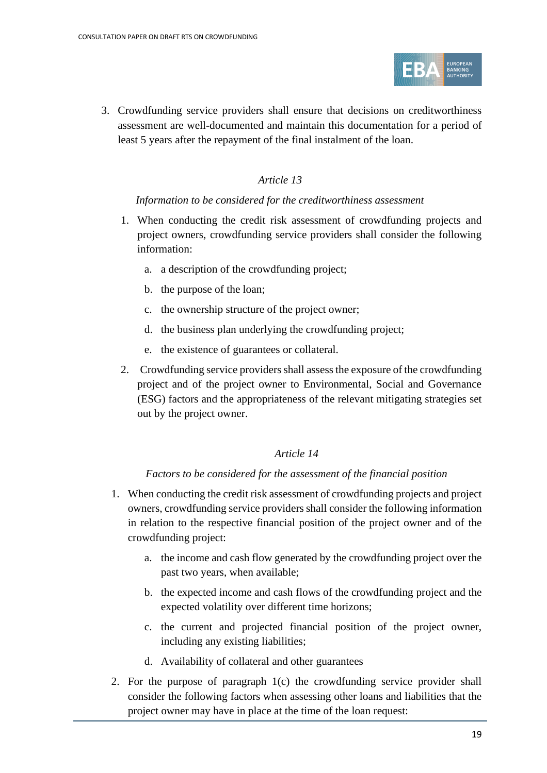

3. Crowdfunding service providers shall ensure that decisions on creditworthiness assessment are well-documented and maintain this documentation for a period of least 5 years after the repayment of the final instalment of the loan.

# *Article 13*

#### *Information to be considered for the creditworthiness assessment*

- 1. When conducting the credit risk assessment of crowdfunding projects and project owners, crowdfunding service providers shall consider the following information:
	- a. a description of the crowdfunding project;
	- b. the purpose of the loan;
	- c. the ownership structure of the project owner;
	- d. the business plan underlying the crowdfunding project;
	- e. the existence of guarantees or collateral.
- 2. Crowdfunding service providers shall assess the exposure of the crowdfunding project and of the project owner to Environmental, Social and Governance (ESG) factors and the appropriateness of the relevant mitigating strategies set out by the project owner.

# *Article 14*

#### *Factors to be considered for the assessment of the financial position*

- 1. When conducting the credit risk assessment of crowdfunding projects and project owners, crowdfunding service providers shall consider the following information in relation to the respective financial position of the project owner and of the crowdfunding project:
	- a. the income and cash flow generated by the crowdfunding project over the past two years, when available;
	- b. the expected income and cash flows of the crowdfunding project and the expected volatility over different time horizons;
	- c. the current and projected financial position of the project owner, including any existing liabilities;
	- d. Availability of collateral and other guarantees
- 2. For the purpose of paragraph 1(c) the crowdfunding service provider shall consider the following factors when assessing other loans and liabilities that the project owner may have in place at the time of the loan request: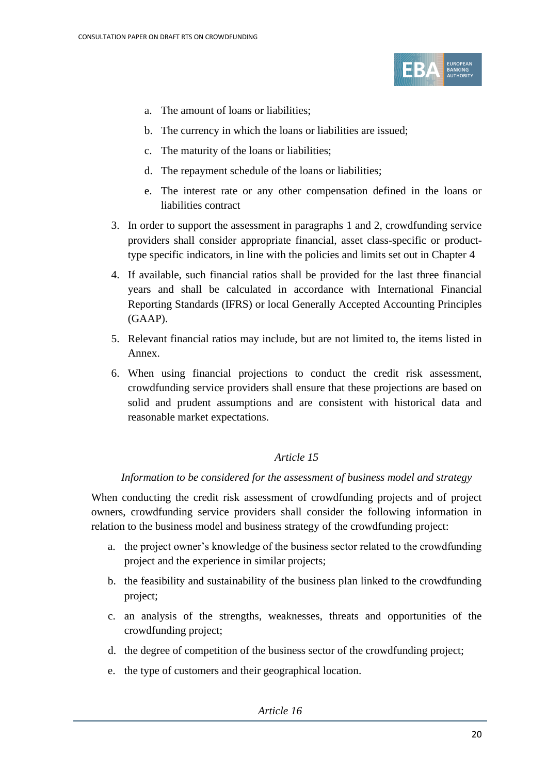

- a. The amount of loans or liabilities;
- b. The currency in which the loans or liabilities are issued;
- c. The maturity of the loans or liabilities;
- d. The repayment schedule of the loans or liabilities;
- e. The interest rate or any other compensation defined in the loans or liabilities contract
- 3. In order to support the assessment in paragraphs 1 and 2, crowdfunding service providers shall consider appropriate financial, asset class-specific or producttype specific indicators, in line with the policies and limits set out in Chapter 4
- 4. If available, such financial ratios shall be provided for the last three financial years and shall be calculated in accordance with International Financial Reporting Standards (IFRS) or local Generally Accepted Accounting Principles (GAAP).
- 5. Relevant financial ratios may include, but are not limited to, the items listed in Annex.
- 6. When using financial projections to conduct the credit risk assessment, crowdfunding service providers shall ensure that these projections are based on solid and prudent assumptions and are consistent with historical data and reasonable market expectations.

# *Information to be considered for the assessment of business model and strategy*

When conducting the credit risk assessment of crowdfunding projects and of project owners, crowdfunding service providers shall consider the following information in relation to the business model and business strategy of the crowdfunding project:

- a. the project owner's knowledge of the business sector related to the crowdfunding project and the experience in similar projects;
- b. the feasibility and sustainability of the business plan linked to the crowdfunding project;
- c. an analysis of the strengths, weaknesses, threats and opportunities of the crowdfunding project;
- d. the degree of competition of the business sector of the crowdfunding project;
- e. the type of customers and their geographical location.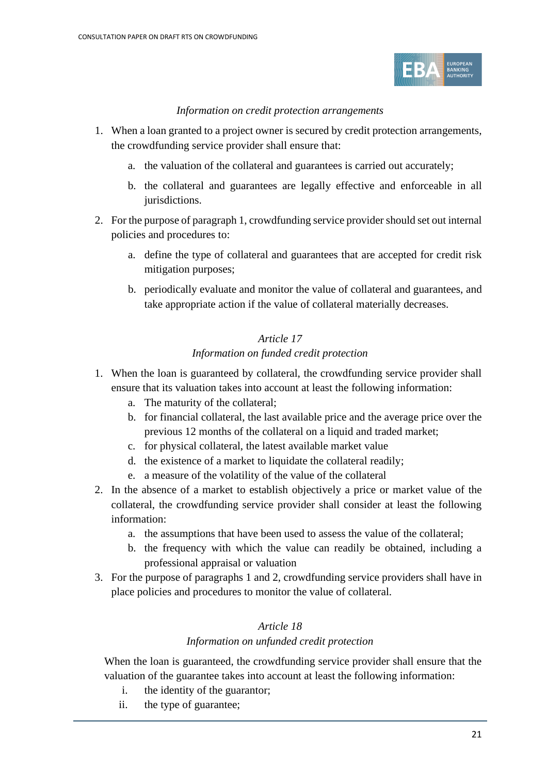

#### *Information on credit protection arrangements*

- 1. When a loan granted to a project owner is secured by credit protection arrangements, the crowdfunding service provider shall ensure that:
	- a. the valuation of the collateral and guarantees is carried out accurately;
	- b. the collateral and guarantees are legally effective and enforceable in all jurisdictions.
- 2. For the purpose of paragraph 1, crowdfunding service provider should set out internal policies and procedures to:
	- a. define the type of collateral and guarantees that are accepted for credit risk mitigation purposes;
	- b. periodically evaluate and monitor the value of collateral and guarantees, and take appropriate action if the value of collateral materially decreases.

# *Article 17 Information on funded credit protection*

- 1. When the loan is guaranteed by collateral, the crowdfunding service provider shall ensure that its valuation takes into account at least the following information:
	- a. The maturity of the collateral;
	- b. for financial collateral, the last available price and the average price over the previous 12 months of the collateral on a liquid and traded market;
	- c. for physical collateral, the latest available market value
	- d. the existence of a market to liquidate the collateral readily;
	- e. a measure of the volatility of the value of the collateral
- 2. In the absence of a market to establish objectively a price or market value of the collateral, the crowdfunding service provider shall consider at least the following information:
	- a. the assumptions that have been used to assess the value of the collateral;
	- b. the frequency with which the value can readily be obtained, including a professional appraisal or valuation
- 3. For the purpose of paragraphs 1 and 2, crowdfunding service providers shall have in place policies and procedures to monitor the value of collateral.

# *Article 18*

#### *Information on unfunded credit protection*

When the loan is guaranteed, the crowdfunding service provider shall ensure that the valuation of the guarantee takes into account at least the following information:

- i. the identity of the guarantor;
- ii. the type of guarantee;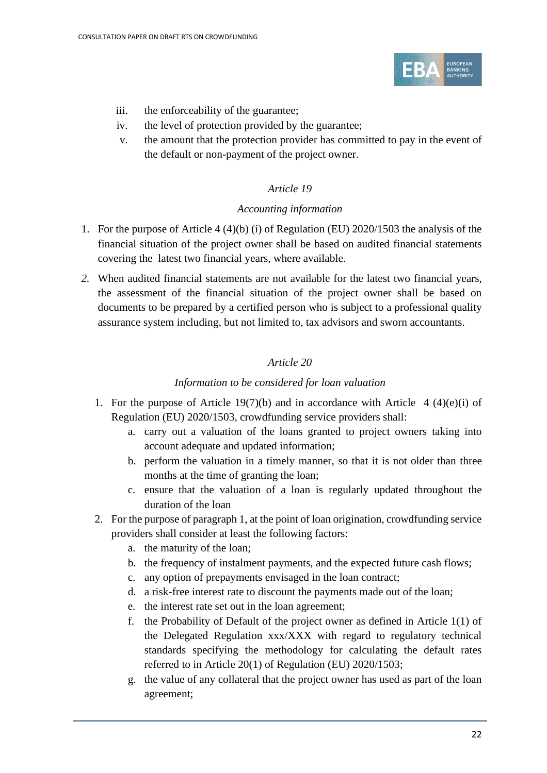

- iii. the enforceability of the guarantee;
- iv. the level of protection provided by the guarantee;
- v. the amount that the protection provider has committed to pay in the event of the default or non-payment of the project owner.

#### *Accounting information*

- 1. For the purpose of Article 4 (4)(b) (i) of Regulation (EU) 2020/1503 the analysis of the financial situation of the project owner shall be based on audited financial statements covering the latest two financial years, where available.
- *2.* When audited financial statements are not available for the latest two financial years, the assessment of the financial situation of the project owner shall be based on documents to be prepared by a certified person who is subject to a professional quality assurance system including, but not limited to, tax advisors and sworn accountants.

# *Article 20*

### *Information to be considered for loan valuation*

- 1. For the purpose of Article 19(7)(b) and in accordance with Article  $4 \left( 4 \right)$ (e)(i) of Regulation (EU) 2020/1503, crowdfunding service providers shall:
	- a. carry out a valuation of the loans granted to project owners taking into account adequate and updated information;
	- b. perform the valuation in a timely manner, so that it is not older than three months at the time of granting the loan;
	- c. ensure that the valuation of a loan is regularly updated throughout the duration of the loan
- 2. For the purpose of paragraph 1, at the point of loan origination, crowdfunding service providers shall consider at least the following factors:
	- a. the maturity of the loan;
	- b. the frequency of instalment payments, and the expected future cash flows;
	- c. any option of prepayments envisaged in the loan contract;
	- d. a risk-free interest rate to discount the payments made out of the loan;
	- e. the interest rate set out in the loan agreement;
	- f. the Probability of Default of the project owner as defined in Article 1(1) of the Delegated Regulation xxx/XXX with regard to regulatory technical standards specifying the methodology for calculating the default rates referred to in Article 20(1) of Regulation (EU) 2020/1503;
	- g. the value of any collateral that the project owner has used as part of the loan agreement;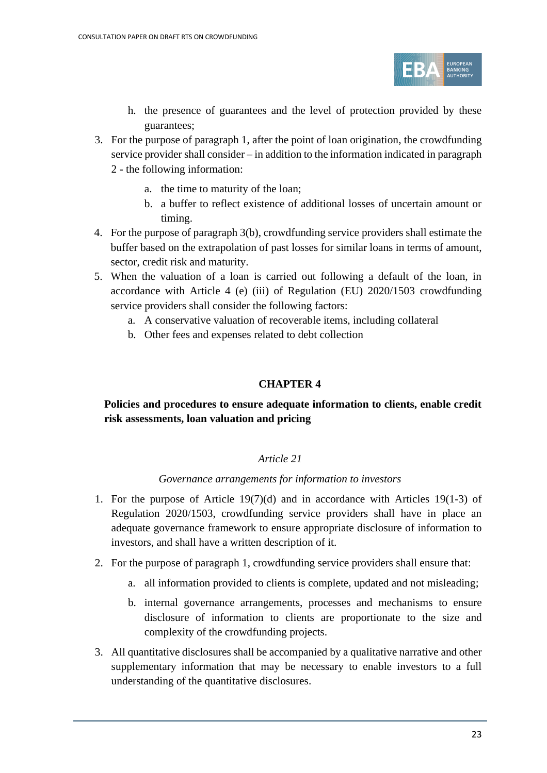

- h. the presence of guarantees and the level of protection provided by these guarantees;
- 3. For the purpose of paragraph 1, after the point of loan origination, the crowdfunding service provider shall consider – in addition to the information indicated in paragraph 2 - the following information:
	- a. the time to maturity of the loan;
	- b. a buffer to reflect existence of additional losses of uncertain amount or timing.
- 4. For the purpose of paragraph 3(b), crowdfunding service providers shall estimate the buffer based on the extrapolation of past losses for similar loans in terms of amount, sector, credit risk and maturity.
- 5. When the valuation of a loan is carried out following a default of the loan, in accordance with Article 4 (e) (iii) of Regulation (EU) 2020/1503 crowdfunding service providers shall consider the following factors:
	- a. A conservative valuation of recoverable items, including collateral
	- b. Other fees and expenses related to debt collection

# **CHAPTER 4**

# **Policies and procedures to ensure adequate information to clients, enable credit risk assessments, loan valuation and pricing**

# *Article 21*

#### *Governance arrangements for information to investors*

- 1. For the purpose of Article 19(7)(d) and in accordance with Articles 19(1-3) of Regulation 2020/1503, crowdfunding service providers shall have in place an adequate governance framework to ensure appropriate disclosure of information to investors, and shall have a written description of it.
- 2. For the purpose of paragraph 1, crowdfunding service providers shall ensure that:
	- a. all information provided to clients is complete, updated and not misleading;
	- b. internal governance arrangements, processes and mechanisms to ensure disclosure of information to clients are proportionate to the size and complexity of the crowdfunding projects.
- 3. All quantitative disclosures shall be accompanied by a qualitative narrative and other supplementary information that may be necessary to enable investors to a full understanding of the quantitative disclosures.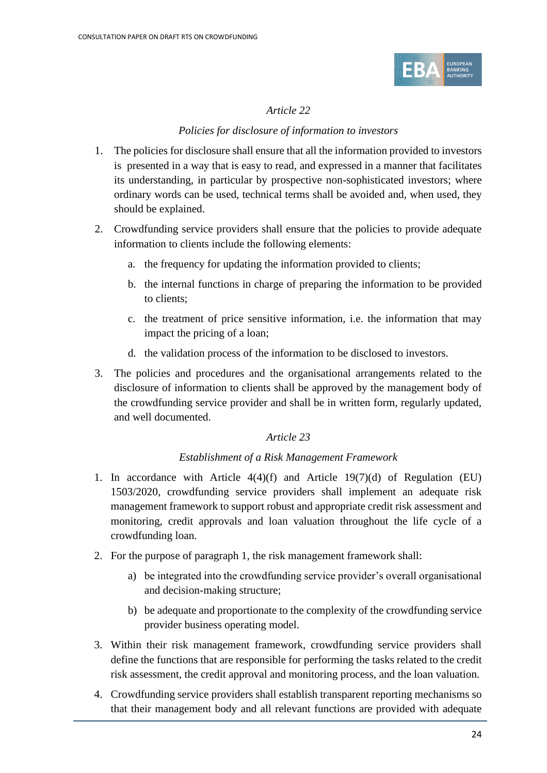

#### *Policies for disclosure of information to investors*

- 1. The policies for disclosure shall ensure that all the information provided to investors is presented in a way that is easy to read, and expressed in a manner that facilitates its understanding, in particular by prospective non-sophisticated investors; where ordinary words can be used, technical terms shall be avoided and, when used, they should be explained.
- 2. Crowdfunding service providers shall ensure that the policies to provide adequate information to clients include the following elements:
	- a. the frequency for updating the information provided to clients;
	- b. the internal functions in charge of preparing the information to be provided to clients;
	- c. the treatment of price sensitive information, i.e. the information that may impact the pricing of a loan;
	- d. the validation process of the information to be disclosed to investors.
- 3. The policies and procedures and the organisational arrangements related to the disclosure of information to clients shall be approved by the management body of the crowdfunding service provider and shall be in written form, regularly updated, and well documented.

#### *Article 23*

#### *Establishment of a Risk Management Framework*

- 1. In accordance with Article 4(4)(f) and Article 19(7)(d) of Regulation (EU) 1503/2020, crowdfunding service providers shall implement an adequate risk management framework to support robust and appropriate credit risk assessment and monitoring, credit approvals and loan valuation throughout the life cycle of a crowdfunding loan.
- 2. For the purpose of paragraph 1, the risk management framework shall:
	- a) be integrated into the crowdfunding service provider's overall organisational and decision-making structure;
	- b) be adequate and proportionate to the complexity of the crowdfunding service provider business operating model.
- 3. Within their risk management framework, crowdfunding service providers shall define the functions that are responsible for performing the tasks related to the credit risk assessment, the credit approval and monitoring process, and the loan valuation.
- 4. Crowdfunding service providers shall establish transparent reporting mechanisms so that their management body and all relevant functions are provided with adequate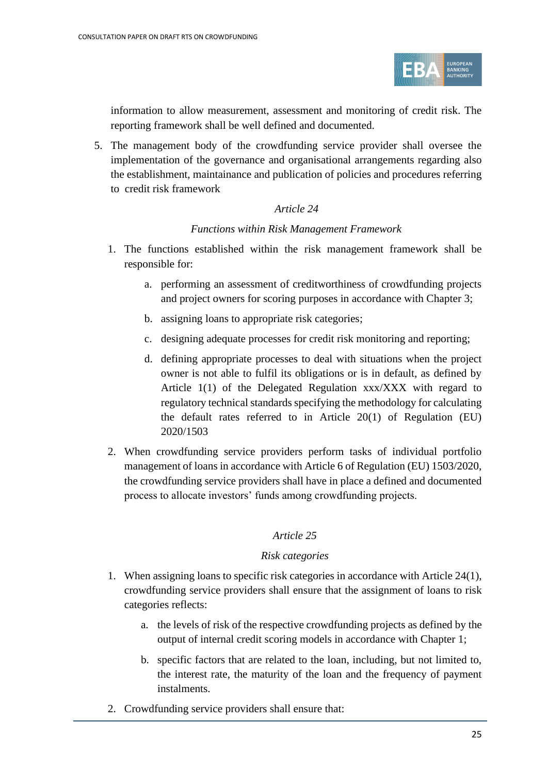

information to allow measurement, assessment and monitoring of credit risk. The reporting framework shall be well defined and documented.

5. The management body of the crowdfunding service provider shall oversee the implementation of the governance and organisational arrangements regarding also the establishment, maintainance and publication of policies and procedures referring to credit risk framework

#### *Article 24*

#### *Functions within Risk Management Framework*

- 1. The functions established within the risk management framework shall be responsible for:
	- a. performing an assessment of creditworthiness of crowdfunding projects and project owners for scoring purposes in accordance with Chapter 3;
	- b. assigning loans to appropriate risk categories;
	- c. designing adequate processes for credit risk monitoring and reporting;
	- d. defining appropriate processes to deal with situations when the project owner is not able to fulfil its obligations or is in default, as defined by Article 1(1) of the Delegated Regulation xxx/XXX with regard to regulatory technical standards specifying the methodology for calculating the default rates referred to in Article 20(1) of Regulation (EU) 2020/1503
- 2. When crowdfunding service providers perform tasks of individual portfolio management of loans in accordance with Article 6 of Regulation (EU) 1503/2020, the crowdfunding service providers shall have in place a defined and documented process to allocate investors' funds among crowdfunding projects.

#### *Article 25*

#### *Risk categories*

- 1. When assigning loans to specific risk categories in accordance with Article 24(1), crowdfunding service providers shall ensure that the assignment of loans to risk categories reflects:
	- a. the levels of risk of the respective crowdfunding projects as defined by the output of internal credit scoring models in accordance with Chapter 1;
	- b. specific factors that are related to the loan, including, but not limited to, the interest rate, the maturity of the loan and the frequency of payment instalments.
- 2. Crowdfunding service providers shall ensure that: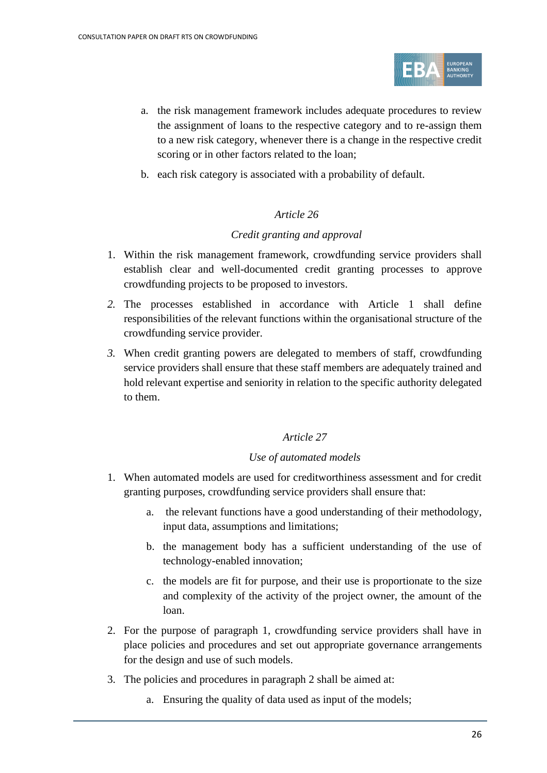

- a. the risk management framework includes adequate procedures to review the assignment of loans to the respective category and to re-assign them to a new risk category, whenever there is a change in the respective credit scoring or in other factors related to the loan;
- b. each risk category is associated with a probability of default.

#### *Credit granting and approval*

- 1. Within the risk management framework, crowdfunding service providers shall establish clear and well-documented credit granting processes to approve crowdfunding projects to be proposed to investors.
- *2.* The processes established in accordance with Article 1 shall define responsibilities of the relevant functions within the organisational structure of the crowdfunding service provider.
- *3.* When credit granting powers are delegated to members of staff, crowdfunding service providers shall ensure that these staff members are adequately trained and hold relevant expertise and seniority in relation to the specific authority delegated to them.

# *Article 27*

#### *Use of automated models*

- 1. When automated models are used for creditworthiness assessment and for credit granting purposes, crowdfunding service providers shall ensure that:
	- a. the relevant functions have a good understanding of their methodology, input data, assumptions and limitations;
	- b. the management body has a sufficient understanding of the use of technology-enabled innovation;
	- c. the models are fit for purpose, and their use is proportionate to the size and complexity of the activity of the project owner, the amount of the loan.
- 2. For the purpose of paragraph 1, crowdfunding service providers shall have in place policies and procedures and set out appropriate governance arrangements for the design and use of such models.
- 3. The policies and procedures in paragraph 2 shall be aimed at:
	- a. Ensuring the quality of data used as input of the models;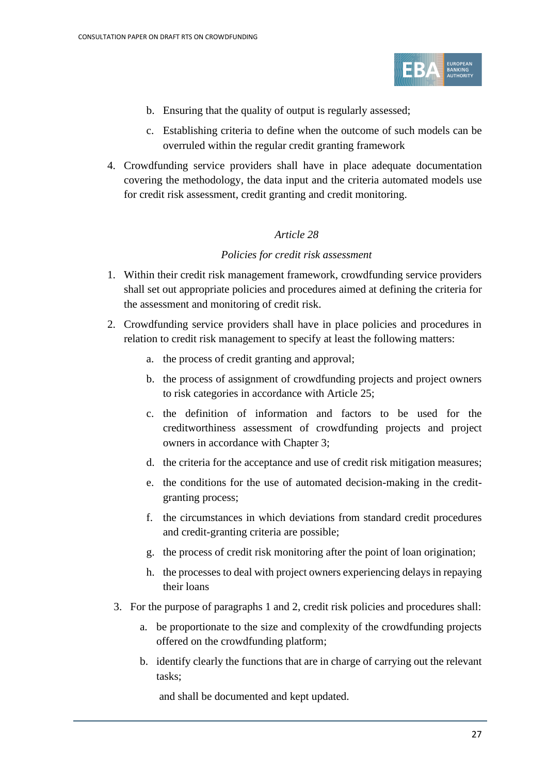

- b. Ensuring that the quality of output is regularly assessed;
- c. Establishing criteria to define when the outcome of such models can be overruled within the regular credit granting framework
- 4. Crowdfunding service providers shall have in place adequate documentation covering the methodology, the data input and the criteria automated models use for credit risk assessment, credit granting and credit monitoring.

#### *Policies for credit risk assessment*

- 1. Within their credit risk management framework, crowdfunding service providers shall set out appropriate policies and procedures aimed at defining the criteria for the assessment and monitoring of credit risk.
- 2. Crowdfunding service providers shall have in place policies and procedures in relation to credit risk management to specify at least the following matters:
	- a. the process of credit granting and approval;
	- b. the process of assignment of crowdfunding projects and project owners to risk categories in accordance with Article 25;
	- c. the definition of information and factors to be used for the creditworthiness assessment of crowdfunding projects and project owners in accordance with Chapter 3;
	- d. the criteria for the acceptance and use of credit risk mitigation measures;
	- e. the conditions for the use of automated decision-making in the creditgranting process;
	- f. the circumstances in which deviations from standard credit procedures and credit-granting criteria are possible;
	- g. the process of credit risk monitoring after the point of loan origination;
	- h. the processes to deal with project owners experiencing delays in repaying their loans
	- 3. For the purpose of paragraphs 1 and 2, credit risk policies and procedures shall:
		- a. be proportionate to the size and complexity of the crowdfunding projects offered on the crowdfunding platform;
		- b. identify clearly the functions that are in charge of carrying out the relevant tasks;

and shall be documented and kept updated.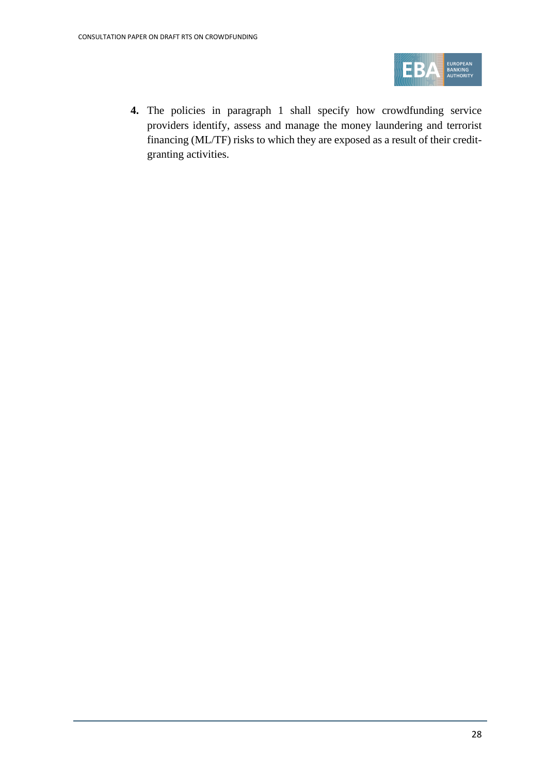

**4.** The policies in paragraph 1 shall specify how crowdfunding service providers identify, assess and manage the money laundering and terrorist financing (ML/TF) risks to which they are exposed as a result of their creditgranting activities.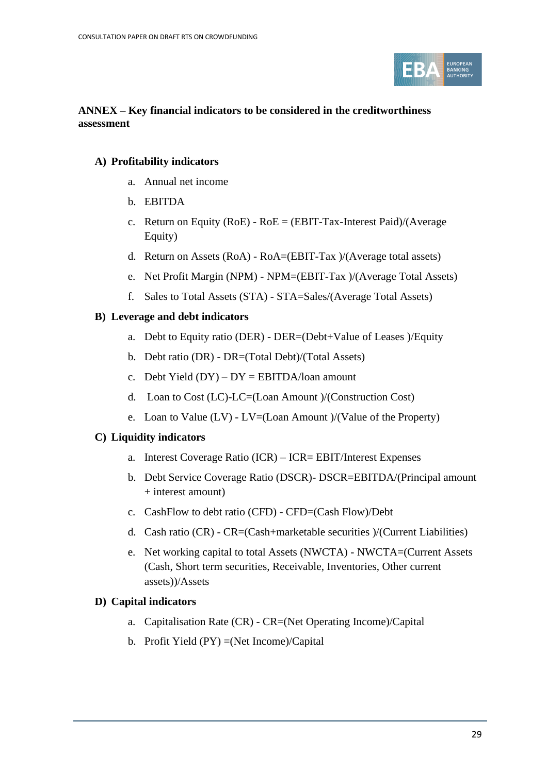

#### **ANNEX – Key financial indicators to be considered in the creditworthiness assessment**

## **A) Profitability indicators**

- a. Annual net income
- b. EBITDA
- c. Return on Equity (RoE)  $RoE = (EBIT-Tax-Interest \t Paid)/(Average$ Equity)
- d. Return on Assets (RoA) RoA=(EBIT-Tax )/(Average total assets)
- e. Net Profit Margin (NPM) NPM=(EBIT-Tax )/(Average Total Assets)
- f. Sales to Total Assets (STA) STA=Sales/(Average Total Assets)

### **B) Leverage and debt indicators**

- a. Debt to Equity ratio (DER) DER=(Debt+Value of Leases )/Equity
- b. Debt ratio (DR) DR=(Total Debt)/(Total Assets)
- c. Debt Yield  $(DY) DY = EBITDA/loan$  amount
- d. Loan to Cost (LC)-LC=(Loan Amount )/(Construction Cost)
- e. Loan to Value  $(LV)$   $LV=(Loan\,Amount)/(Value\,of\,the\,Property)$

#### **C) Liquidity indicators**

- a. Interest Coverage Ratio (ICR) ICR= EBIT/Interest Expenses
- b. Debt Service Coverage Ratio (DSCR)- DSCR=EBITDA/(Principal amount + interest amount)
- c. CashFlow to debt ratio (CFD) CFD=(Cash Flow)/Debt
- d. Cash ratio (CR) CR=(Cash+marketable securities )/(Current Liabilities)
- e. Net working capital to total Assets (NWCTA) NWCTA=(Current Assets (Cash, Short term securities, Receivable, Inventories, Other current assets))/Assets

# **D) Capital indicators**

- a. Capitalisation Rate (CR) CR=(Net Operating Income)/Capital
- b. Profit Yield (PY) =(Net Income)/Capital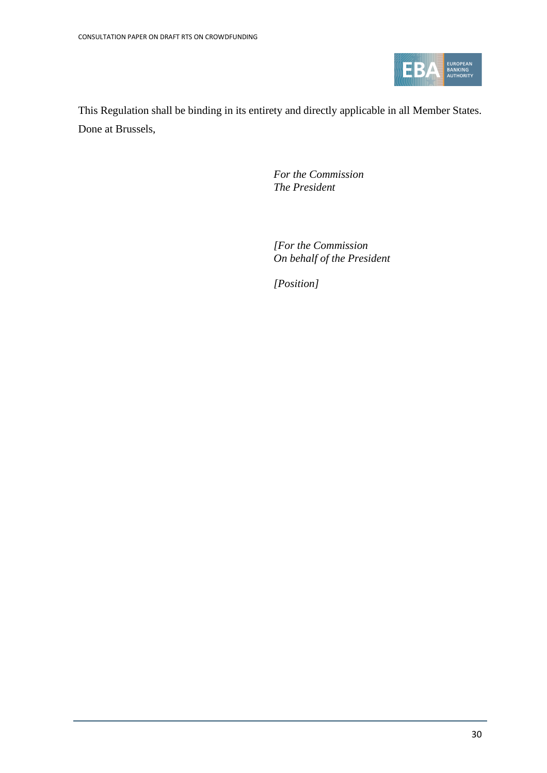

This Regulation shall be binding in its entirety and directly applicable in all Member States. Done at Brussels,

> *For the Commission The President*

*[For the Commission On behalf of the President*

*[Position]*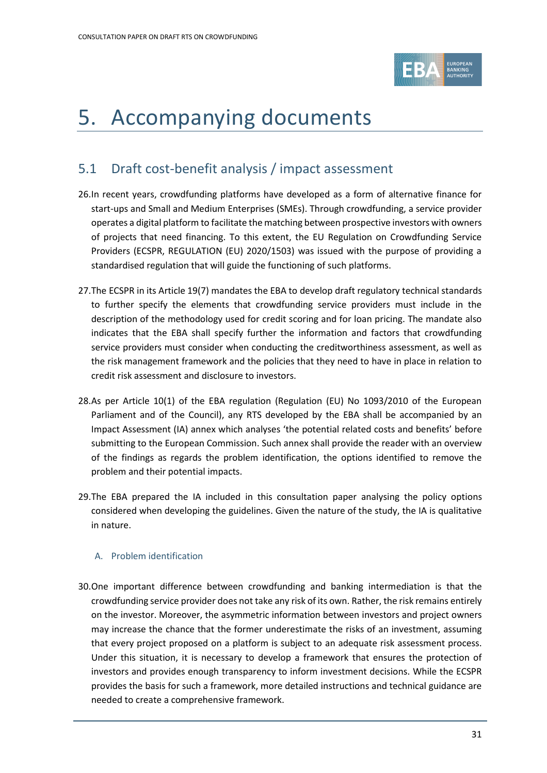

# <span id="page-30-0"></span>5. Accompanying documents

# <span id="page-30-1"></span>5.1 Draft cost-benefit analysis / impact assessment

- 26.In recent years, crowdfunding platforms have developed as a form of alternative finance for start-ups and Small and Medium Enterprises (SMEs). Through crowdfunding, a service provider operates a digital platform to facilitate the matching between prospective investors with owners of projects that need financing. To this extent, the EU Regulation on Crowdfunding Service Providers (ECSPR, REGULATION (EU) 2020/1503) was issued with the purpose of providing a standardised regulation that will guide the functioning of such platforms.
- 27.The ECSPR in its Article 19(7) mandates the EBA to develop draft regulatory technical standards to further specify the elements that crowdfunding service providers must include in the description of the methodology used for credit scoring and for loan pricing. The mandate also indicates that the EBA shall specify further the information and factors that crowdfunding service providers must consider when conducting the creditworthiness assessment, as well as the risk management framework and the policies that they need to have in place in relation to credit risk assessment and disclosure to investors.
- 28.As per Article 10(1) of the EBA regulation (Regulation (EU) No 1093/2010 of the European Parliament and of the Council), any RTS developed by the EBA shall be accompanied by an Impact Assessment (IA) annex which analyses 'the potential related costs and benefits' before submitting to the European Commission. Such annex shall provide the reader with an overview of the findings as regards the problem identification, the options identified to remove the problem and their potential impacts.
- 29.The EBA prepared the IA included in this consultation paper analysing the policy options considered when developing the guidelines. Given the nature of the study, the IA is qualitative in nature.

# A. Problem identification

30.One important difference between crowdfunding and banking intermediation is that the crowdfunding service provider does not take any risk of its own. Rather, the risk remains entirely on the investor. Moreover, the asymmetric information between investors and project owners may increase the chance that the former underestimate the risks of an investment, assuming that every project proposed on a platform is subject to an adequate risk assessment process. Under this situation, it is necessary to develop a framework that ensures the protection of investors and provides enough transparency to inform investment decisions. While the ECSPR provides the basis for such a framework, more detailed instructions and technical guidance are needed to create a comprehensive framework.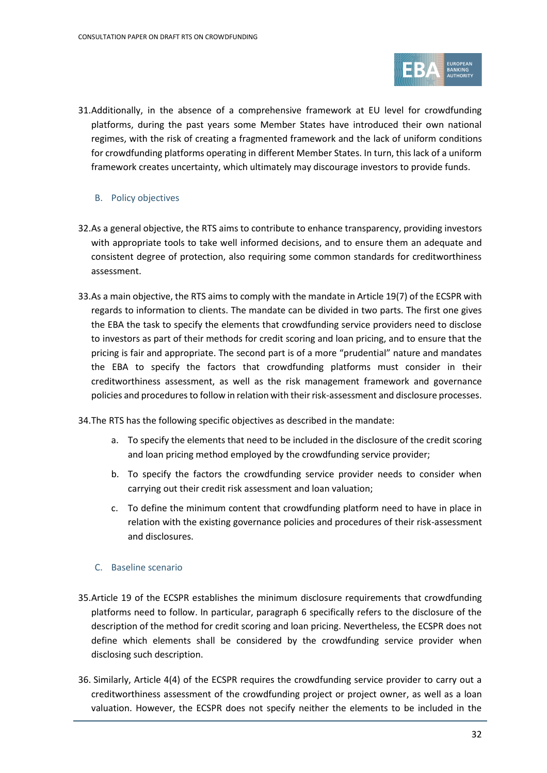

- 31.Additionally, in the absence of a comprehensive framework at EU level for crowdfunding platforms, during the past years some Member States have introduced their own national regimes, with the risk of creating a fragmented framework and the lack of uniform conditions for crowdfunding platforms operating in different Member States. In turn, this lack of a uniform framework creates uncertainty, which ultimately may discourage investors to provide funds.
	- B. Policy objectives
- 32.As a general objective, the RTS aims to contribute to enhance transparency, providing investors with appropriate tools to take well informed decisions, and to ensure them an adequate and consistent degree of protection, also requiring some common standards for creditworthiness assessment.
- 33.As a main objective, the RTS aims to comply with the mandate in Article 19(7) of the ECSPR with regards to information to clients. The mandate can be divided in two parts. The first one gives the EBA the task to specify the elements that crowdfunding service providers need to disclose to investors as part of their methods for credit scoring and loan pricing, and to ensure that the pricing is fair and appropriate. The second part is of a more "prudential" nature and mandates the EBA to specify the factors that crowdfunding platforms must consider in their creditworthiness assessment, as well as the risk management framework and governance policies and procedures to follow in relation with their risk-assessment and disclosure processes.
- 34.The RTS has the following specific objectives as described in the mandate:
	- a. To specify the elements that need to be included in the disclosure of the credit scoring and loan pricing method employed by the crowdfunding service provider;
	- b. To specify the factors the crowdfunding service provider needs to consider when carrying out their credit risk assessment and loan valuation;
	- c. To define the minimum content that crowdfunding platform need to have in place in relation with the existing governance policies and procedures of their risk-assessment and disclosures.

#### C. Baseline scenario

- 35.Article 19 of the ECSPR establishes the minimum disclosure requirements that crowdfunding platforms need to follow. In particular, paragraph 6 specifically refers to the disclosure of the description of the method for credit scoring and loan pricing. Nevertheless, the ECSPR does not define which elements shall be considered by the crowdfunding service provider when disclosing such description.
- 36. Similarly, Article 4(4) of the ECSPR requires the crowdfunding service provider to carry out a creditworthiness assessment of the crowdfunding project or project owner, as well as a loan valuation. However, the ECSPR does not specify neither the elements to be included in the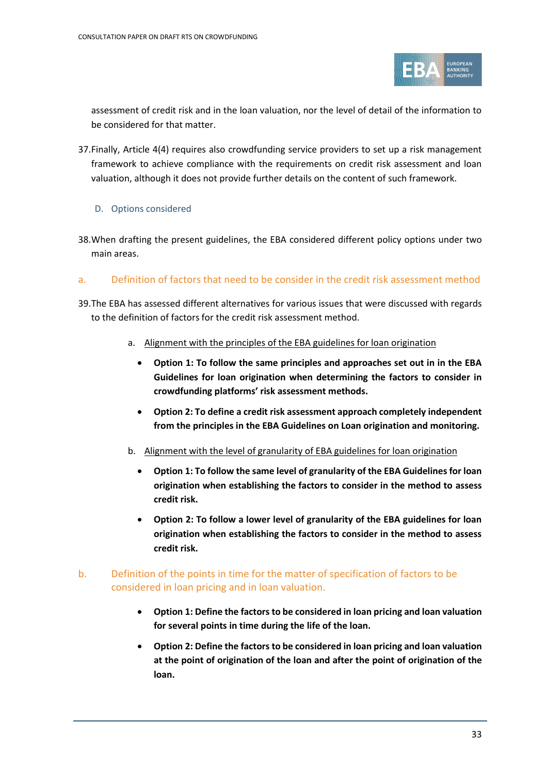

assessment of credit risk and in the loan valuation, nor the level of detail of the information to be considered for that matter.

- 37.Finally, Article 4(4) requires also crowdfunding service providers to set up a risk management framework to achieve compliance with the requirements on credit risk assessment and loan valuation, although it does not provide further details on the content of such framework.
	- D. Options considered
- 38.When drafting the present guidelines, the EBA considered different policy options under two main areas.

#### a. Definition of factors that need to be consider in the credit risk assessment method

- 39.The EBA has assessed different alternatives for various issues that were discussed with regards to the definition of factors for the credit risk assessment method.
	- a. Alignment with the principles of the EBA guidelines for loan origination
		- **Option 1: To follow the same principles and approaches set out in in the EBA Guidelines for loan origination when determining the factors to consider in crowdfunding platforms' risk assessment methods.**
		- **Option 2: To define a credit risk assessment approach completely independent from the principles in the EBA Guidelines on Loan origination and monitoring.**
	- b. Alignment with the level of granularity of EBA guidelines for loan origination
		- **Option 1: To follow the same level of granularity of the EBA Guidelines for loan origination when establishing the factors to consider in the method to assess credit risk.**
		- **Option 2: To follow a lower level of granularity of the EBA guidelines for loan origination when establishing the factors to consider in the method to assess credit risk.**

#### b. Definition of the points in time for the matter of specification of factors to be considered in loan pricing and in loan valuation.

- **Option 1: Define the factors to be considered in loan pricing and loan valuation for several points in time during the life of the loan.**
- **Option 2: Define the factors to be considered in loan pricing and loan valuation at the point of origination of the loan and after the point of origination of the loan.**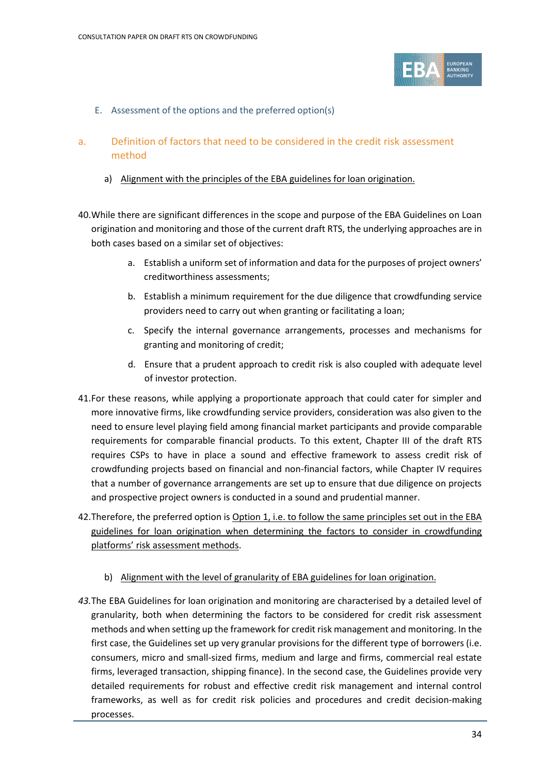

- E. Assessment of the options and the preferred option(s)
- a. Definition of factors that need to be considered in the credit risk assessment method
	- a) Alignment with the principles of the EBA guidelines for loan origination.
- 40.While there are significant differences in the scope and purpose of the EBA Guidelines on Loan origination and monitoring and those of the current draft RTS, the underlying approaches are in both cases based on a similar set of objectives:
	- a. Establish a uniform set of information and data for the purposes of project owners' creditworthiness assessments;
	- b. Establish a minimum requirement for the due diligence that crowdfunding service providers need to carry out when granting or facilitating a loan;
	- c. Specify the internal governance arrangements, processes and mechanisms for granting and monitoring of credit;
	- d. Ensure that a prudent approach to credit risk is also coupled with adequate level of investor protection.
- 41.For these reasons, while applying a proportionate approach that could cater for simpler and more innovative firms, like crowdfunding service providers, consideration was also given to the need to ensure level playing field among financial market participants and provide comparable requirements for comparable financial products. To this extent, Chapter III of the draft RTS requires CSPs to have in place a sound and effective framework to assess credit risk of crowdfunding projects based on financial and non-financial factors, while Chapter IV requires that a number of governance arrangements are set up to ensure that due diligence on projects and prospective project owners is conducted in a sound and prudential manner.
- 42. Therefore, the preferred option is Option 1, i.e. to follow the same principles set out in the EBA guidelines for loan origination when determining the factors to consider in crowdfunding platforms' risk assessment methods.
	- b) Alignment with the level of granularity of EBA guidelines for loan origination.
- *43.*The EBA Guidelines for loan origination and monitoring are characterised by a detailed level of granularity, both when determining the factors to be considered for credit risk assessment methods and when setting up the framework for credit risk management and monitoring. In the first case, the Guidelines set up very granular provisions for the different type of borrowers (i.e. consumers, micro and small-sized firms, medium and large and firms, commercial real estate firms, leveraged transaction, shipping finance). In the second case, the Guidelines provide very detailed requirements for robust and effective credit risk management and internal control frameworks, as well as for credit risk policies and procedures and credit decision-making processes.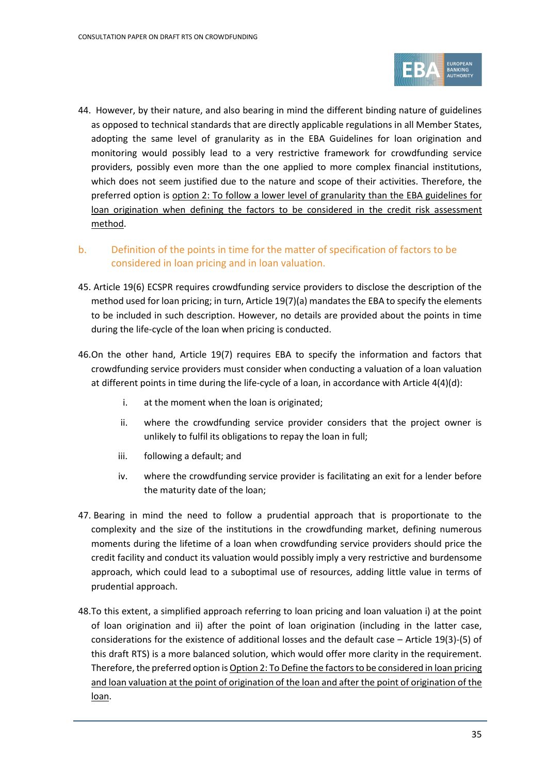

44. However, by their nature, and also bearing in mind the different binding nature of guidelines as opposed to technical standards that are directly applicable regulations in all Member States, adopting the same level of granularity as in the EBA Guidelines for loan origination and monitoring would possibly lead to a very restrictive framework for crowdfunding service providers, possibly even more than the one applied to more complex financial institutions, which does not seem justified due to the nature and scope of their activities. Therefore, the preferred option is option 2: To follow a lower level of granularity than the EBA guidelines for loan origination when defining the factors to be considered in the credit risk assessment method.

## b. Definition of the points in time for the matter of specification of factors to be considered in loan pricing and in loan valuation.

- 45. Article 19(6) ECSPR requires crowdfunding service providers to disclose the description of the method used for loan pricing; in turn, Article 19(7)(a) mandates the EBA to specify the elements to be included in such description. However, no details are provided about the points in time during the life-cycle of the loan when pricing is conducted.
- 46.On the other hand, Article 19(7) requires EBA to specify the information and factors that crowdfunding service providers must consider when conducting a valuation of a loan valuation at different points in time during the life-cycle of a loan, in accordance with Article 4(4)(d):
	- i. at the moment when the loan is originated;
	- ii. where the crowdfunding service provider considers that the project owner is unlikely to fulfil its obligations to repay the loan in full;
	- iii. following a default; and
	- iv. where the crowdfunding service provider is facilitating an exit for a lender before the maturity date of the loan;
- 47. Bearing in mind the need to follow a prudential approach that is proportionate to the complexity and the size of the institutions in the crowdfunding market, defining numerous moments during the lifetime of a loan when crowdfunding service providers should price the credit facility and conduct its valuation would possibly imply a very restrictive and burdensome approach, which could lead to a suboptimal use of resources, adding little value in terms of prudential approach.
- 48.To this extent, a simplified approach referring to loan pricing and loan valuation i) at the point of loan origination and ii) after the point of loan origination (including in the latter case, considerations for the existence of additional losses and the default case – Article 19(3)-(5) of this draft RTS) is a more balanced solution, which would offer more clarity in the requirement. Therefore, the preferred option is Option 2: To Define the factors to be considered in loan pricing and loan valuation at the point of origination of the loan and after the point of origination of the loan.